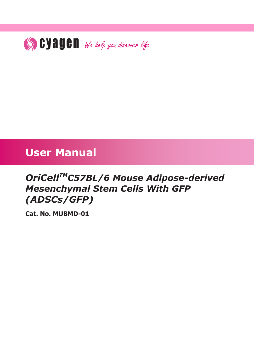

# **User Manual**

# *OriCellTMC57BL/6 Mouse Adipose-derived Mesenchymal Stem Cells With GFP (ADSCs/GFP)*

**Cat. No. MUBMD-01**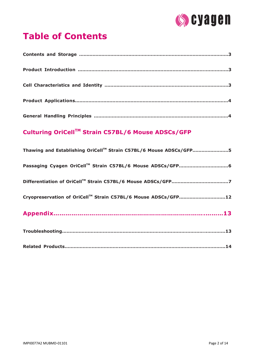

# **Table of Contents**

# **Culturing OriCellTM Strain C57BL/6 Mouse ADSCs/GFP**

| Thawing and Establishing OriCell™ Strain C57BL/6 Mouse ADSCs/GFP5 |
|-------------------------------------------------------------------|
|                                                                   |
|                                                                   |
| Cryopreservation of OriCell™ Strain C57BL/6 Mouse ADSCs/GFP12     |
|                                                                   |
|                                                                   |
|                                                                   |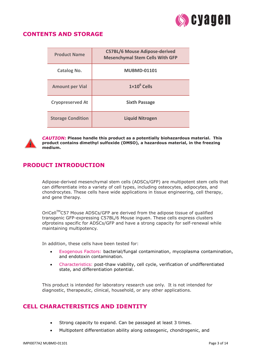

# **CONTENTS AND STORAGE**

| <b>Product Name</b>      | <b>C57BL/6 Mouse Adipose-derived</b><br><b>Mesenchymal Stem Cells With GFP</b> |
|--------------------------|--------------------------------------------------------------------------------|
| <b>Catalog No.</b>       | <b>MUBMD-01101</b>                                                             |
| <b>Amount per Vial</b>   | $1 \times 10^6$ Cells                                                          |
| <b>Cryopreserved At</b>  | <b>Sixth Passage</b>                                                           |
| <b>Storage Condition</b> | <b>Liquid Nitrogen</b>                                                         |



*CAUTION:* **Please handle this product as a potentially biohazardous material. This product contains dimethyl sulfoxide (DMSO), a hazardous material, in the freezing medium.**

# **PRODUCT INTRODUCTION**

Adipose-derived mesenchymal stem cells (ADSCs/GFP) are multipotent stem cells that can differentiate into a variety of cell types, including osteocytes, adipocytes, and chondrocytes. These cells have wide applications in tissue engineering, cell therapy, and gene therapy.

OriCellTMC57 Mouse ADSCs/GFP are derived from the adipose tissue of qualified transgenic GFP-expressing C57BL/6 Mouse inguen. These cells express clusters ofproteins specific for ADSCs/GFP and have a strong capacity for self-renewal while maintaining multipotency.

In addition, these cells have been tested for:

- Exogenous Factors: bacterial/fungal contamination, mycoplasma contamination, and endotoxin contamination.
- Characteristics: post-thaw viability, cell cycle, verification of undifferentiated state, and differentiation potential.

This product is intended for laboratory research use only. It is not intended for diagnostic, therapeutic, clinical, household, or any other applications.

# **CELL CHARACTERISTICS AND IDENTITY**

- Strong capacity to expand. Can be passaged at least 3 times.
- Multipotent differentiation ability along osteogenic, chondrogenic, and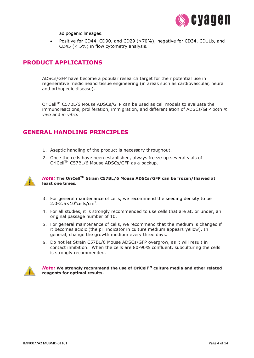

adipogenic lineages.

 Positive for CD44, CD90, and CD29 (>70%); negative for CD34, CD11b, and CD45 (< 5%) in flow cytometry analysis.

## **PRODUCT APPLICATIONS**

ADSCs/GFP have become a popular research target for their potential use in regenerative medicineand tissue engineering (in areas such as cardiovascular, neural and orthopedic disease).

OriCell™ C57BL/6 Mouse ADSCs/GFP can be used as cell models to evaluate the immunoreactions, proliferation, immigration, and differentiation of ADSCs/GFP both *in vivo* and *in vitro*.

## **GENERAL HANDLING PRINCIPLES**

- 1. Aseptic handling of the product is necessary throughout.
- 2. Once the cells have been established, always freeze up several vials of OriCell™ C57BL/6 Mouse ADSCs/GFP as a backup.



#### *Note:* **The OriCellTM Strain C57BL/6 Mouse ADSCs/GFP can be frozen/thawed at least one times.**

- 3. For general maintenance of cells, we recommend the seeding density to be  $2.0 - 2.5 \times 10^4$ cells/cm<sup>2</sup>.
- 4. For all studies, it is strongly recommended to use cells that are at, or under, an original passage number of 10.
- 5. For general maintenance of cells, we recommend that the medium is changed if it becomes acidic (the pH indicator in culture medium appears yellow). In general, change the growth medium every three days.
- 6. Do not let Strain C57BL/6 Mouse ADSCs/GFP overgrow, as it will result in contact inhibition. When the cells are 80-90% confluent, subculturing the cells is strongly recommended.



**Note:** We strongly recommend the use of OriCell™ culture media and other related **reagents for optimal results.**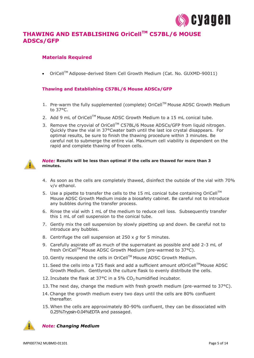

# **THAWING AND ESTABLISHING OriCellTM C57BL/6 MOUSE ADSCs/GFP**

#### **Materials Required**

OriCellTM Adipose-derived Stem Cell Growth Medium (Cat. No. GUXMD-90011)

#### **Thawing and Establishing C57BL/6 Mouse ADSCs/GFP**

- 1. Pre-warm the fully supplemented (complete) OriCell<sup>™</sup> Mouse ADSC Growth Medium to 37°C.
- 2. Add 9 mL of OriCell™ Mouse ADSC Growth Medium to a 15 mL conical tube.
- 3. Remove the cryovial of OriCell™ C57BL/6 Mouse ADSCs/GFP from liquid nitrogen. Quickly thaw the vial in 37°Cwater bath until the last ice crystal disappears. For optimal results, be sure to finish the thawing procedure within 3 minutes. Be careful not to submerge the entire vial. Maximum cell viability is dependent on the rapid and complete thawing of frozen cells.

#### *Note:* **Results will be less than optimal if the cells are thawed for more than 3 minutes.**

- 4. As soon as the cells are completely thawed, disinfect the outside of the vial with 70% v/v ethanol.
- 5. Use a pipette to transfer the cells to the 15 mL conical tube containing OriCell<sup>TM</sup> Mouse ADSC Growth Medium inside a biosafety cabinet. Be careful not to introduce any bubbles during the transfer process.
- 6. Rinse the vial with 1 mL of the medium to reduce cell loss. Subsequently transfer this 1 mL of cell suspension to the conical tube.
- 7. Gently mix the cell suspension by slowly pipetting up and down. Be careful not to introduce any bubbles.
- 8. Centrifuge the cell suspension at 250 x *g* for 5 minutes.
- 9. Carefully aspirate off as much of the supernatant as possible and add 2-3 mL of fresh OriCell™ Mouse ADSC Growth Medium (pre-warmed to 37°C).
- 10. Gently resuspend the cells in OriCell™ Mouse ADSC Growth Medium.
- 11. Seed the cells into a T25 flask and add a sufficient amount ofOriCell™Mouse ADSC Growth Medium. Gentlyrock the culture flask to evenly distribute the cells.
- 12. Incubate the flask at  $37^{\circ}$ C in a 5% CO<sub>2</sub> humidified incubator.
- 13. The next day, change the medium with fresh growth medium (pre-warmed to  $37^{\circ}$ C).
- 14.Change the growth medium every two days until the cells are 80% confluent thereafter.
- 15. When the cells are approximately 80-90% confluent, they can be dissociated with 0.25%Trypsin-0.04%EDTA and passaged.

![](_page_4_Picture_22.jpeg)

*Note: Changing Medium*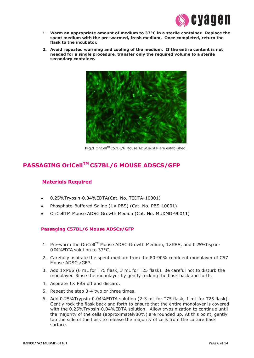![](_page_5_Picture_0.jpeg)

- **1. Warm an appropriate amount of medium to 37°C in a sterile container. Replace the spent medium with the pre-warmed, fresh medium. Once completed, return the flask to the incubator.**
- **2. Avoid repeated warming and cooling of the medium. If the entire content is not needed for a single procedure, transfer only the required volume to a sterile secondary container.**

![](_page_5_Figure_3.jpeg)

Fig.1 OriCell™ C57BL/6 Mouse ADSCs/GFP are established.

# **PASSAGING OriCellTM C57BL/6 MOUSE ADSCS/GFP**

#### **Materials Required**

- 0.25%Trypsin-0.04%EDTA(Cat. No. TEDTA-10001)
- Phosphate-Buffered Saline (1× PBS) (Cat. No. PBS-10001)
- OriCellTM Mouse ADSC Growth Medium(Cat. No. MUXMD-90011)

#### **Passaging C57BL/6 Mouse ADSCs/GFP**

- 1. Pre-warm the OriCell™ Mouse ADSC Growth Medium, 1×PBS, and 0.25%Trypsin-0.04%EDTA solution to 37°C.
- 2. Carefully aspirate the spent medium from the 80-90% confluent monolayer of C57 Mouse ADSCs/GFP.
- 3. Add 1×PBS (6 mL for T75 flask, 3 mL for T25 flask). Be careful not to disturb the monolayer. Rinse the monolayer by gently rocking the flask back and forth.
- 4. Aspirate 1× PBS off and discard.
- 5. Repeat the step 3-4 two or three times.
- 6. Add 0.25%Trypsin-0.04%EDTA solution (2-3 mL for T75 flask, 1 mL for T25 flask). Gently rock the flask back and forth to ensure that the entire monolayer is covered with the 0.25%Trypsin-0.04%EDTA solution. Allow trypsinization to continue until the majority of the cells (approximately80%) are rounded up. At this point, gently tap the side of the flask to release the majority of cells from the culture flask surface.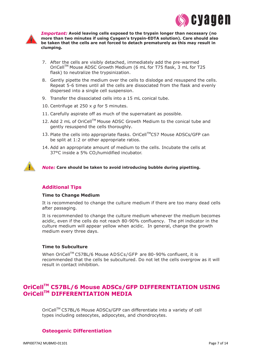![](_page_6_Picture_0.jpeg)

![](_page_6_Picture_1.jpeg)

*Important:* **Avoid leaving cells exposed to the trypsin longer than necessary (no more than two minutes if using Cyagen's trypsin-EDTA solution). Care should also be taken that the cells are not forced to detach prematurely as this may result in clumping.**

- 7. After the cells are visibly detached, immediately add the pre-warmed OriCell™ Mouse ADSC Growth Medium (6 mL for T75 flask, 3 mL for T25 flask) to neutralize the trypsinization.
- 8. Gently pipette the medium over the cells to dislodge and resuspend the cells. Repeat 5-6 times until all the cells are dissociated from the flask and evenly dispersed into a single cell suspension.
- 9. Transfer the dissociated cells into a 15 mL conical tube.
- 10. Centrifuge at 250 x *g* for 5 minutes.
- 11. Carefully aspirate off as much of the supernatant as possible.
- 12. Add 2 mL of OriCell™ Mouse ADSC Growth Medium to the conical tube and gently resuspend the cells thoroughly.
- 13. Plate the cells into appropriate flasks. OriCell™C57 Mouse ADSCs/GFP can be split at 1:2 or other appropriate ratios.
- 14. Add an appropriate amount of medium to the cells. Incubate the cells at 37°C inside a 5% CO<sub>2</sub>humidified incubator.

![](_page_6_Picture_11.jpeg)

*Note:* **Care should be taken to avoid introducing bubble during pipetting.**

#### **Additional Tips**

#### **Time to Change Medium**

It is recommended to change the culture medium if there are too many dead cells after passaging.

It is recommended to change the culture medium whenever the medium becomes acidic, even if the cells do not reach 80-90% confluency. The pH indicator in the culture medium will appear yellow when acidic. In general, change the growth medium every three days.

#### **Time to Subculture**

When OriCell<sup>™</sup> C57BL/6 Mouse ADSCs/GFP are 80-90% confluent, it is recommended that the cells be subcultured. Do not let the cells overgrow as it will result in contact inhibition.

# **OriCellTM C57BL/6 Mouse ADSCs/GFP DIFFERENTIATION USING OriCellTM DIFFERENTIATION MEDIA**

OriCellTM C57BL/6 Mouse ADSCs/GFP can differentiate into a variety of cell types including osteocytes, adipocytes, and chondrocytes.

#### **Osteogenic Differentiation**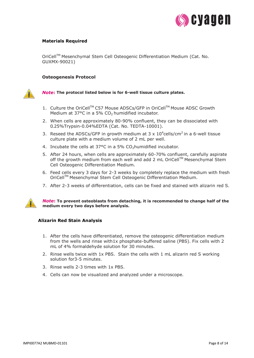![](_page_7_Picture_0.jpeg)

#### **Materials Required**

OriCellTM Mesenchymal Stem Cell Osteogenic Differentiation Medium (Cat. No. GUXMX-90021)

#### **Osteogenesis Protocol**

![](_page_7_Picture_4.jpeg)

#### *Note***: The protocol listed below is for 6-well tissue culture plates.**

- 1. Culture the OriCell™ C57 Mouse ADSCs/GFP in OriCell™ Mouse ADSC Growth Medium at  $37^{\circ}$ C in a 5% CO<sub>2</sub> humidified incubator.
- 2. When cells are approximately 80-90% confluent, they can be dissociated with 0.25%Trypsin-0.04%EDTA (Cat. No. TEDTA-10001).
- 3. Reseed the ADSCs/GFP in growth medium at 3 x  $10^4$ cells/cm<sup>2</sup> in a 6-well tissue culture plate with a medium volume of 2 mL per well.
- 4. Incubate the cells at 37°C in a 5% CO<sub>2</sub> humidified incubator.
- 5. After 24 hours, when cells are approximately 60-70% confluent, carefully aspirate off the growth medium from each well and add 2 mL OriCell™ Mesenchymal Stem Cell Osteogenic Differentiation Medium.
- 6. Feed cells every 3 days for 2-3 weeks by completely replace the medium with fresh OriCell™ Mesenchymal Stem Cell Osteogenic Differentiation Medium.
- 7. After 2-3 weeks of differentiation, cells can be fixed and stained with alizarin red S.

![](_page_7_Picture_13.jpeg)

#### *Note***: To prevent osteoblasts from detaching, it is recommended to change half of the medium every two days before analysis.**

#### **Alizarin Red Stain Analysis**

- 1. After the cells have differentiated, remove the osteogenic differentiation medium from the wells and rinse with1x phosphate-buffered saline (PBS). Fix cells with 2 mL of 4% formaldehyde solution for 30 minutes.
- 2. Rinse wells twice with 1x PBS. Stain the cells with 1 mL alizarin red S working solution for3-5 minutes.
- 3. Rinse wells 2-3 times with 1x PBS.
- 4. Cells can now be visualized and analyzed under a microscope.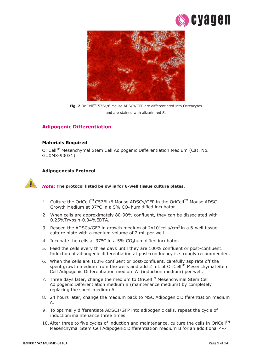![](_page_8_Picture_0.jpeg)

![](_page_8_Picture_1.jpeg)

Fig. 2 OriCell™C57BL/6 Mouse ADSCs/GFP are differentiated into Osteocytes and are stained with alizarin red S.

### **Adipogenic Differentiation**

#### **Materials Required**

OriCellTM Mesenchymal Stem Cell Adipogenic Differentiation Medium (Cat. No. GUXMX-90031)

#### **Adipogenesis Protocol**

#### *Note***: The protocol listed below is for 6-well tissue culture plates.**

- 1. Culture the OriCell™ C57BL/6 Mouse ADSCs/GFP in the OriCell™ Mouse ADSC Growth Medium at  $37^{\circ}$ C in a 5% CO<sub>2</sub> humidified incubator.
- 2. When cells are approximately 80-90% confluent, they can be dissociated with 0.25%Trypsin-0.04%EDTA.
- 3. Reseed the ADSCs/GFP in growth medium at  $2x10^4$ cells/cm<sup>2</sup> in a 6-well tissue culture plate with a medium volume of 2 mL per well.
- 4. Incubate the cells at 37°C in a 5% CO<sub>2</sub> humidified incubator.
- 5. Feed the cells every three days until they are 100% confluent or post-confluent. Induction of adipogenic differentiation at post-confluency is strongly recommended.
- 6. When the cells are 100% confluent or post-confluent, carefully aspirate off the spent growth medium from the wells and add 2 mL of OriCell™ Mesenchymal Stem Cell Adipogenic Differentiation medium A (induction medium) per well.
- 7. Three days later, change the medium to OriCell™ Mesenchymal Stem Cell Adipogenic Differentiation medium B (maintenance medium) by completely replacing the spent medium A.
- 8. 24 hours later, change the medium back to MSC Adipogenic Differentiation medium A.
- 9. To optimally differentiate ADSCs/GFP into adipogenic cells, repeat the cycle of induction/maintenance three times.
- 10. After three to five cycles of induction and maintenance, culture the cells in OriCell<sup>™</sup> Mesenchymal Stem Cell Adipogenic Differentiation medium B for an additional 4-7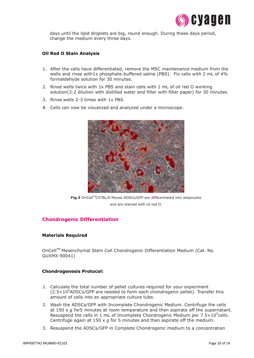![](_page_9_Picture_0.jpeg)

days until the lipid droplets are big, round enough. During these days period, change the medium every three days.

#### **Oil Red O Stain Analysis**

- 1. After the cells have differentiated, remove the MSC maintenance medium from the wells and rinse with1x phosphate-buffered saline (PBS). Fix cells with 2 mL of 4% formaldehyde solution for 30 minutes.
- 2. Rinse wells twice with 1x PBS and stain cells with 1 mL of oil red O working solution(3:2 dilution with distilled water and filter with filter paper) for 30 minutes.
- 3. Rinse wells 2-3 times with 1x PBS.
- 4. Cells can now be visualized and analyzed under a microscope.

![](_page_9_Picture_7.jpeg)

Fig.3 OriCell<sup>™</sup>C57BL/6 Mouse ADSCs/GFP are differentiated into adipocytes and are stained with oil red O.

#### **Chondrogenic Differentiation**

#### **Materials Required**

OriCellTM Mesenchymal Stem Cell Chondrogenic Differentiation Medium (Cat. No. GUXMX-90041)

#### **Chondrogenesis Protocol:**

- 1. Calculate the total number of pellet cultures required for your experiment  $(2.5 \times 10^5$ ADSCs/GFP are needed to form each chondrogenic pellet). Transfer this amount of cells into an appropriate culture tube.
- 2. Wash the ADSCs/GFP with Incomplete Chondrogenic Medium. Centrifuge the cells at 150 x *g* for5 minutes at room temperature and then aspirate off the supernatant. Resuspend the cells in 1 mL of Incomplete Chondrogenic Medium per  $7.5 \times 10^5$ cells. Centrifuge again at 150 x *g* for 5 minutes and then aspirate off the medium.
- 3. Resuspend the ADSCs/GFP in Complete Chondrogenic medium to a concentration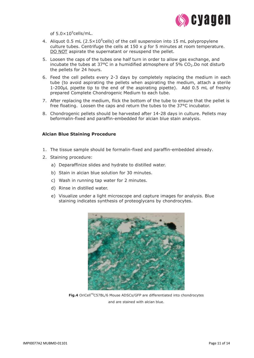![](_page_10_Picture_0.jpeg)

of  $5.0 \times 10^5$ cells/mL.

- 4. Aliquot 0.5 mL (2.5 $\times$ 10<sup>5</sup>cells) of the cell suspension into 15 mL polypropylene culture tubes. Centrifuge the cells at 150 x *g* for 5 minutes at room temperature. DO NOT aspirate the supernatant or resuspend the pellet.
- 5. Loosen the caps of the tubes one half turn in order to allow gas exchange, and incubate the tubes at  $37^{\circ}$ C in a humidified atmosphere of  $5\%$  CO<sub>2</sub>. Do not disturb the pellets for 24 hours.
- 6. Feed the cell pellets every 2-3 days by completely replacing the medium in each tube (to avoid aspirating the pellets when aspirating the medium, attach a sterile 1-200μL pipette tip to the end of the aspirating pipette). Add 0.5 mL of freshly prepared Complete Chondrogenic Medium to each tube.
- 7. After replacing the medium, flick the bottom of the tube to ensure that the pellet is free floating. Loosen the caps and return the tubes to the 37°C incubator.
- 8. Chondrogenic pellets should be harvested after 14-28 days in culture. Pellets may beformalin-fixed and paraffin-embedded for alcian blue stain analysis.

#### **Alcian Blue Staining Procedure**

- 1. The tissue sample should be formalin-fixed and paraffin-embedded already.
- 2. Staining procedure:
	- a) Deparaffinize slides and hydrate to distilled water.
	- b) Stain in alcian blue solution for 30 minutes.
	- c) Wash in running tap water for 2 minutes.
	- d) Rinse in distilled water.
	- e) Visualize under a light microscope and capture images for analysis. Blue staining indicates synthesis of proteoglycans by chondrocytes.

![](_page_10_Picture_15.jpeg)

**Fig.4** OriCell™C57BL/6 Mouse ADSCs/GFP are differentiated into chondrocytes and are stained with alcian blue.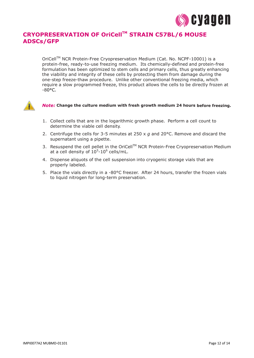![](_page_11_Picture_0.jpeg)

# **CRYOPRESERVATION OF OriCellTM STRAIN C57BL/6 MOUSE ADSCs/GFP**

OriCell™ NCR Protein-Free Cryopreservation Medium (Cat. No. NCPF-10001) is a protein-free, ready-to-use freezing medium. Its chemically-defined and protein-free formulation has been optimized to stem cells and primary cells, thus greatly enhancing the viability and integrity of these cells by protecting them from damage during the one-step freeze-thaw procedure. Unlike other conventional freezing media, which require a slow programmed freeze, this product allows the cells to be directly frozen at  $-80^{\circ}$ C.

![](_page_11_Picture_3.jpeg)

#### *Note:* **Change the culture medium with fresh growth medium 24 hours before freezing.**

- 1. Collect cells that are in the logarithmic growth phase. Perform a cell count to determine the viable cell density.
- 2. Centrifuge the cells for 3-5 minutes at 250 x *g* and 20°C. Remove and discard the supernatant using a pipette.
- 3. Resuspend the cell pellet in the OriCell™ NCR Protein-Free Cryopreservation Medium at a cell density of  $10^5$ -10<sup>6</sup> cells/mL.
- 4. Dispense aliquots of the cell suspension into cryogenic storage vials that are properly labeled.
- 5. Place the vials directly in a -80°C freezer. After 24 hours, transfer the frozen vials to liquid nitrogen for long-term preservation.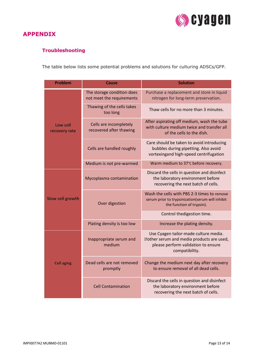![](_page_12_Picture_0.jpeg)

## **APPENDIX**

# **Troubleshooting**

The table below lists some potential problems and solutions for culturing ADSCs/GFP.

| <b>Problem</b>            | Cause                                                   | <b>Solution</b>                                                                                                                              |  |
|---------------------------|---------------------------------------------------------|----------------------------------------------------------------------------------------------------------------------------------------------|--|
| Low cell<br>recovery rate | The storage condition does<br>not meet the requirements | Purchase a replacement and store in liquid<br>nitrogen for long-term preservation.                                                           |  |
|                           | Thawing of the cells takes<br>too long                  | Thaw cells for no more than 3 minutes.                                                                                                       |  |
|                           | Cells are incompletely<br>recovered after thawing       | After aspirating off medium, wash the tube<br>with culture medium twice and transfer all<br>of the cells to the dish.                        |  |
|                           | Cells are handled roughly                               | Care should be taken to avoid introducing<br>bubbles during pipetting. Also avoid<br>vortexingand high-speed centrifugation                  |  |
|                           | Medium is not pre-warmed                                | Warm medium to 37°C before recovery.                                                                                                         |  |
| <b>Slow cell growth</b>   | Mycoplasma contamination                                | Discard the cells in question and disinfect<br>the laboratory environment before<br>recovering the next batch of cells.                      |  |
|                           | Over digestion                                          | Wash the cells with PBS 2-3 times to remove<br>serum prior to trypsinization(serum will inhibit<br>the function of trypsin).                 |  |
|                           |                                                         | Control thedigestion time.                                                                                                                   |  |
|                           | Plating density is too low                              | Increase the plating density.                                                                                                                |  |
| <b>Cell aging</b>         | Inappropriate serum and<br>medium                       | Use Cyagen tailor-made culture media.<br>Ifother serum and media products are used,<br>please perform validation to ensure<br>compatibility. |  |
|                           | Dead cells are not removed<br>promptly                  | Change the medium next day after recovery<br>to ensure removal of all dead cells.                                                            |  |
|                           | <b>Cell Contamination</b>                               | Discard the cells in question and disinfect<br>the laboratory environment before<br>recovering the next batch of cells.                      |  |